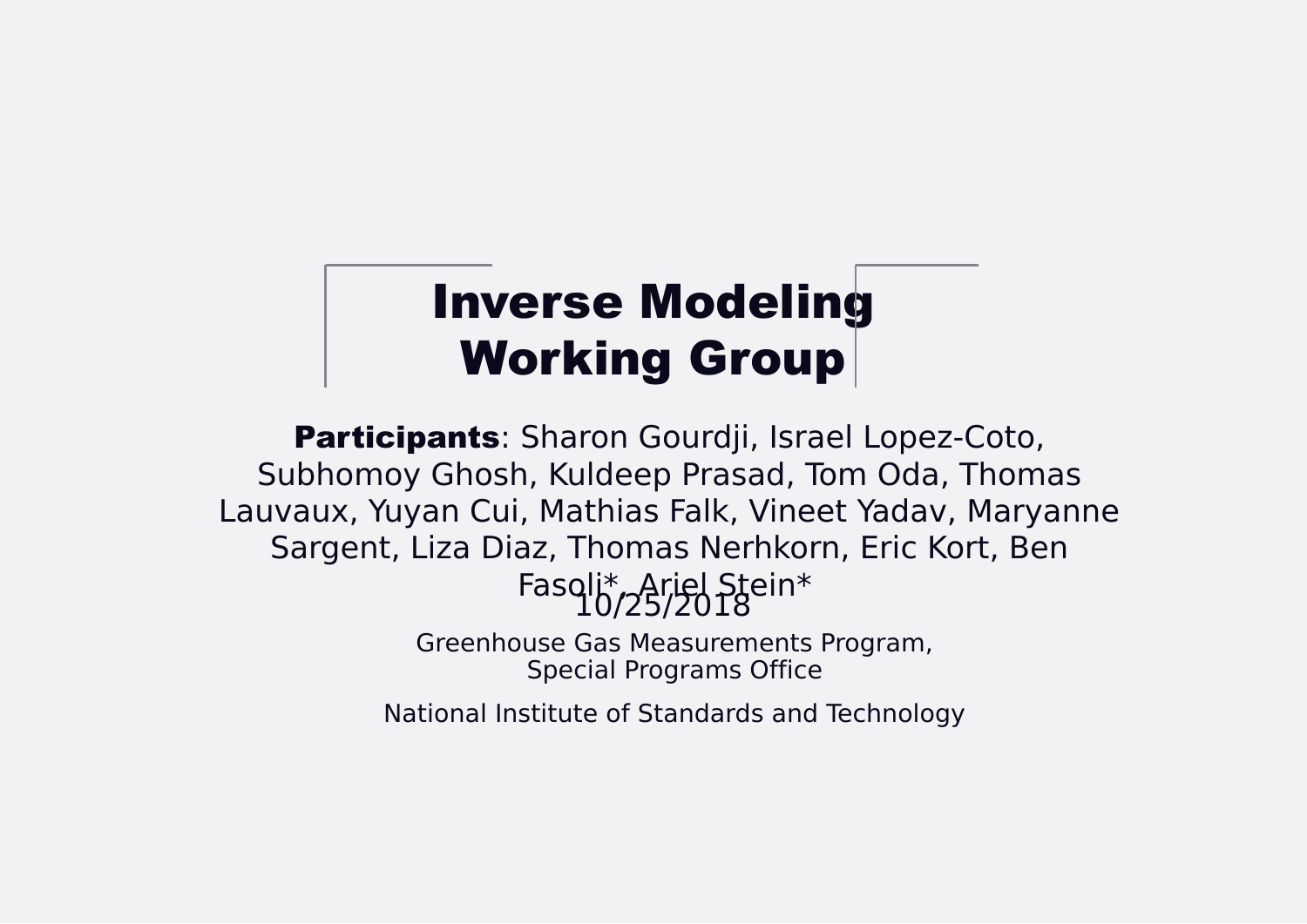## Inverse Modeling Working Group

Greenhouse Gas Measurements Program, Special Programs Office



National Institute of Standards and Technology

10/25/2018 Participants: Sharon Gourdji, Israel Lopez-Coto, Subhomoy Ghosh, Kuldeep Prasad, Tom Oda, Thomas Lauvaux, Yuyan Cui, Mathias Falk, Vineet Yadav, Maryanne Sargent, Liza Diaz, Thomas Nerhkorn, Eric Kort, Ben Fasoli\*, Ariel Stein\*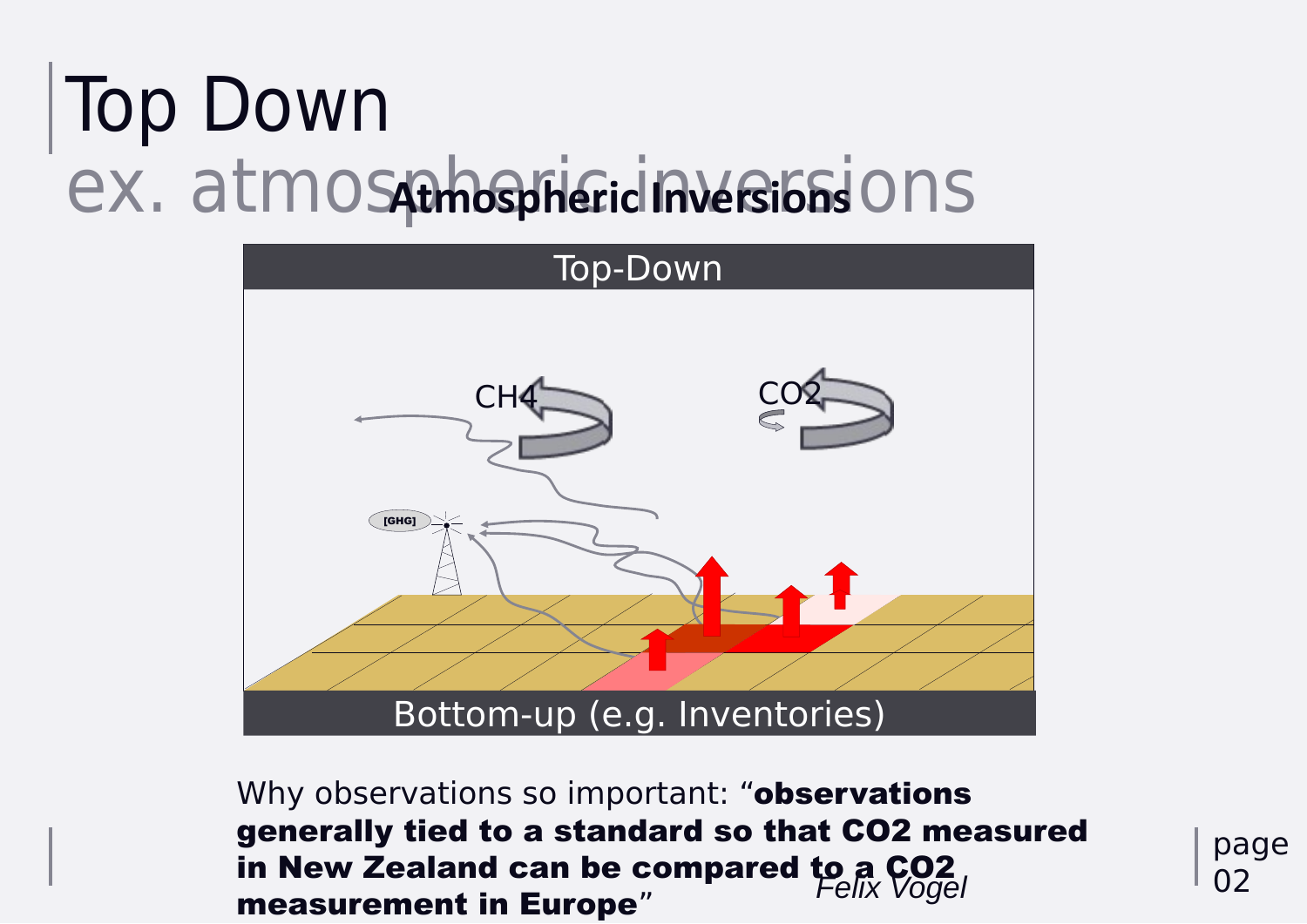# Top Down ex. atmospheric Inversions ons



Why observations so important: "observations generally tied to a standard so that CO2 measured in New Zealand can be compared to a CO2 *Felix Vogel*

# measurement in Europe"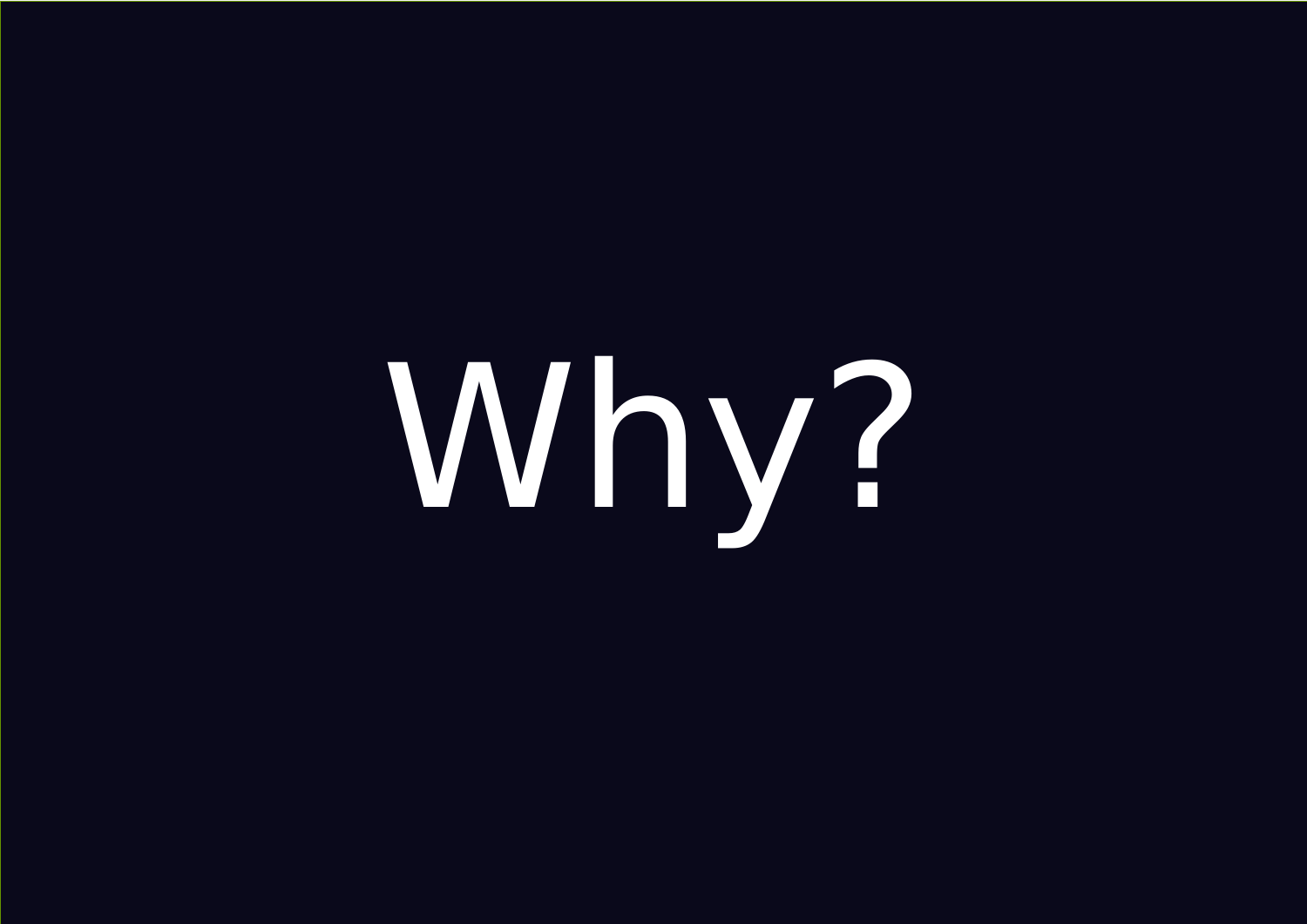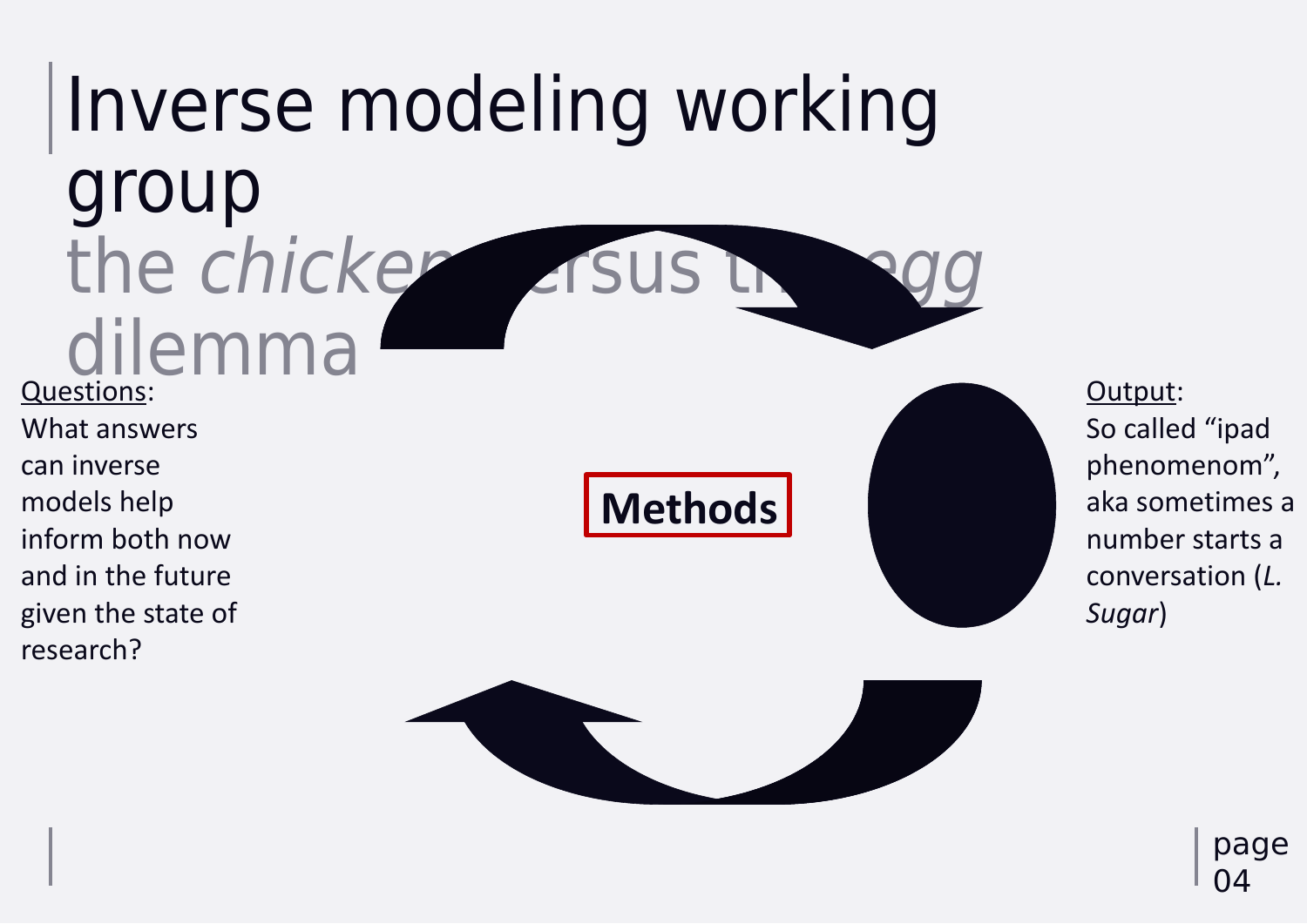# Inverse modeling working

page 04

group the chicken visus the dilemma Questions: What answers can inverse models help inform both now and in the future given the state of research?

Output: So called "ipad phenomenom", aka sometimes a number starts a conversation (*L. Sugar*)

## **Methods**



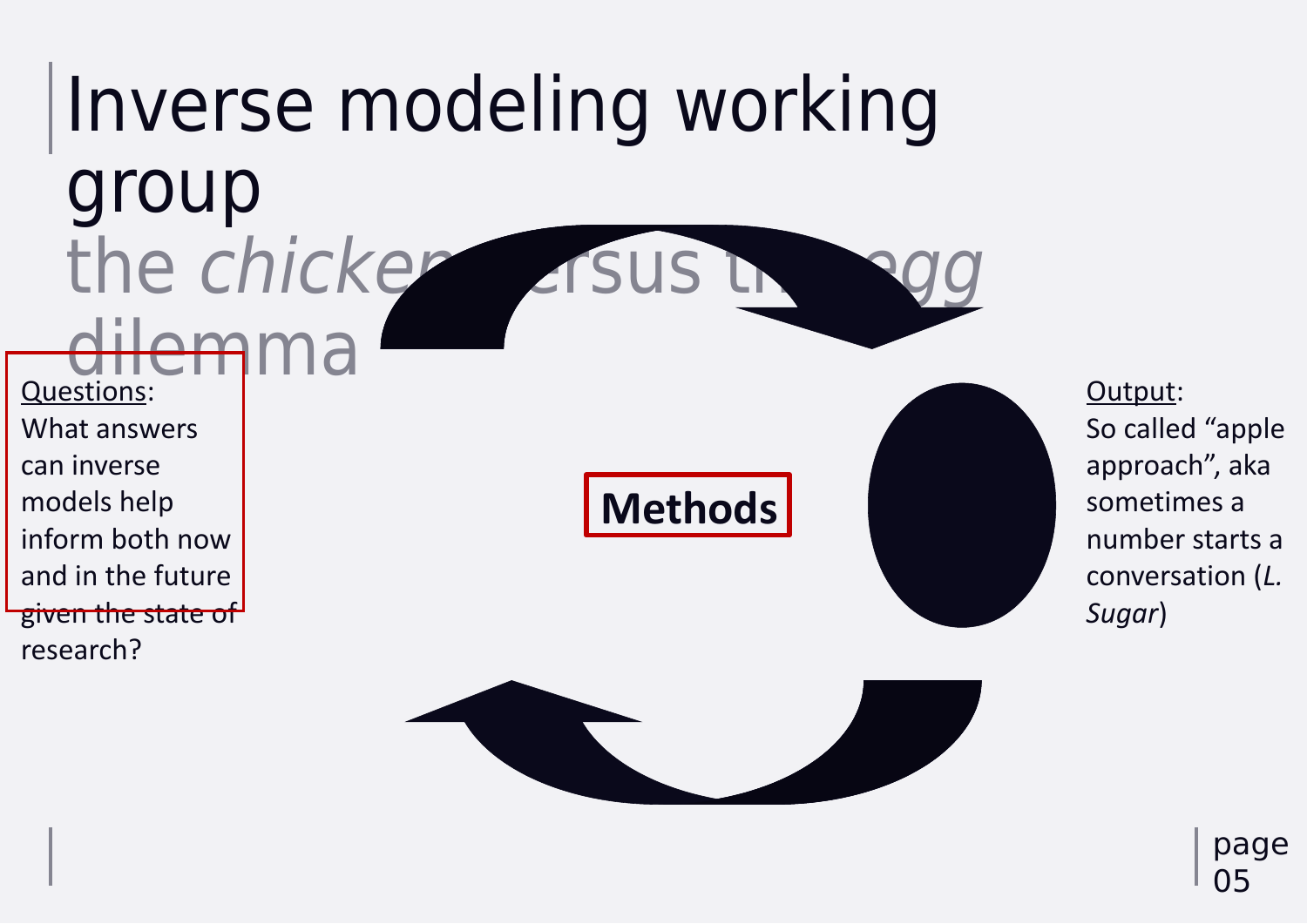Output: So called "apple approach", aka sometimes a number starts a conversation (*L. Sugar*)

## Inverse modeling working group the chicken visus the dilemma Questions: What answers can inverse models help inform both now and in the future given the state of research? **Methods**



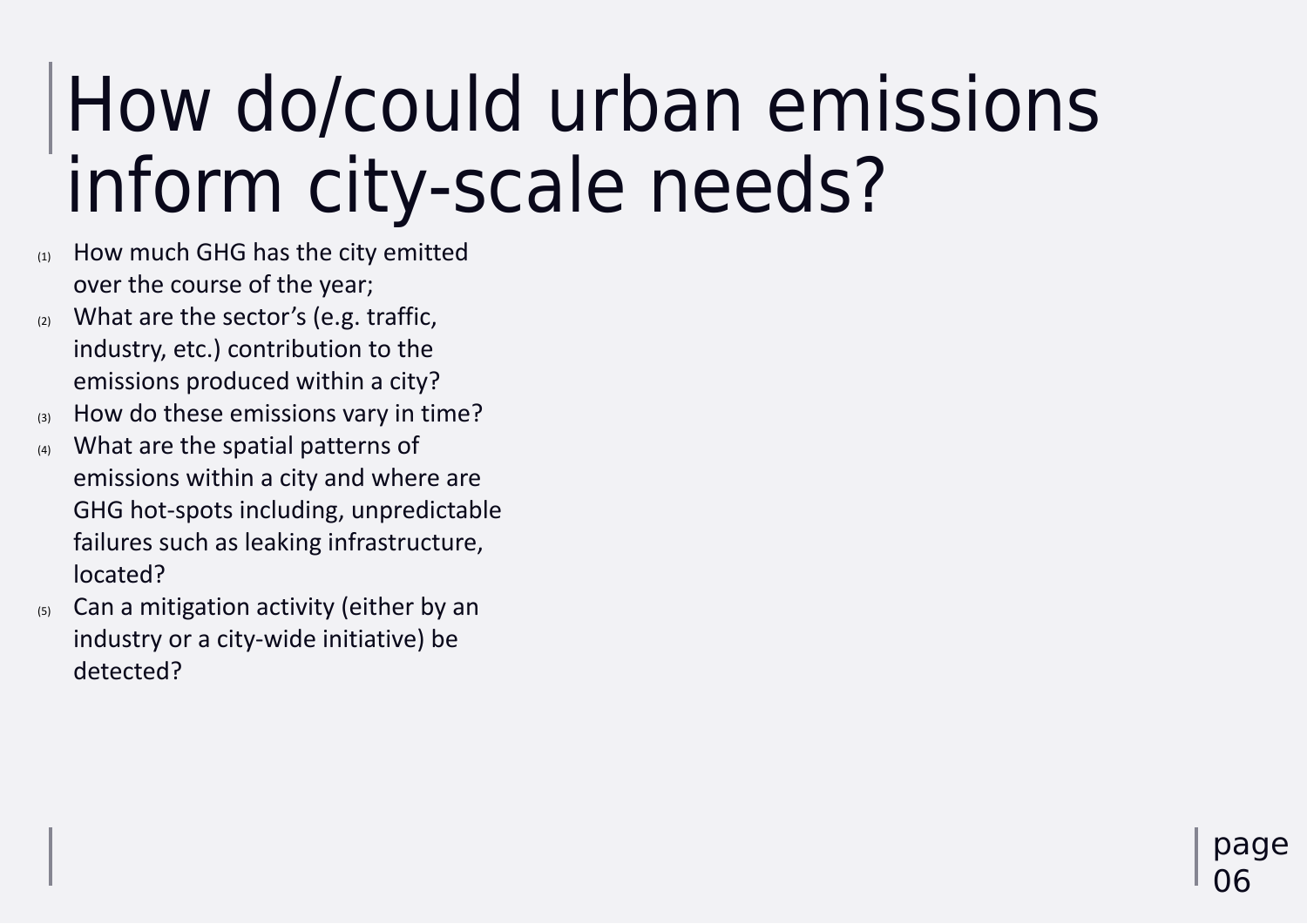## How do/could urban emissions inform city-scale needs? (1) How much GHG has the city emitted

page 06

- over the course of the year;
- $(2)$  What are the sector's (e.g. traffic, industry, etc.) contribution to the emissions produced within a city?
- (3) How do these emissions vary in time?
- (4) What are the spatial patterns of emissions within a city and where are GHG hot-spots including, unpredictable failures such as leaking infrastructure, located?
- (5) Can a mitigation activity (either by an industry or a city-wide initiative) be detected?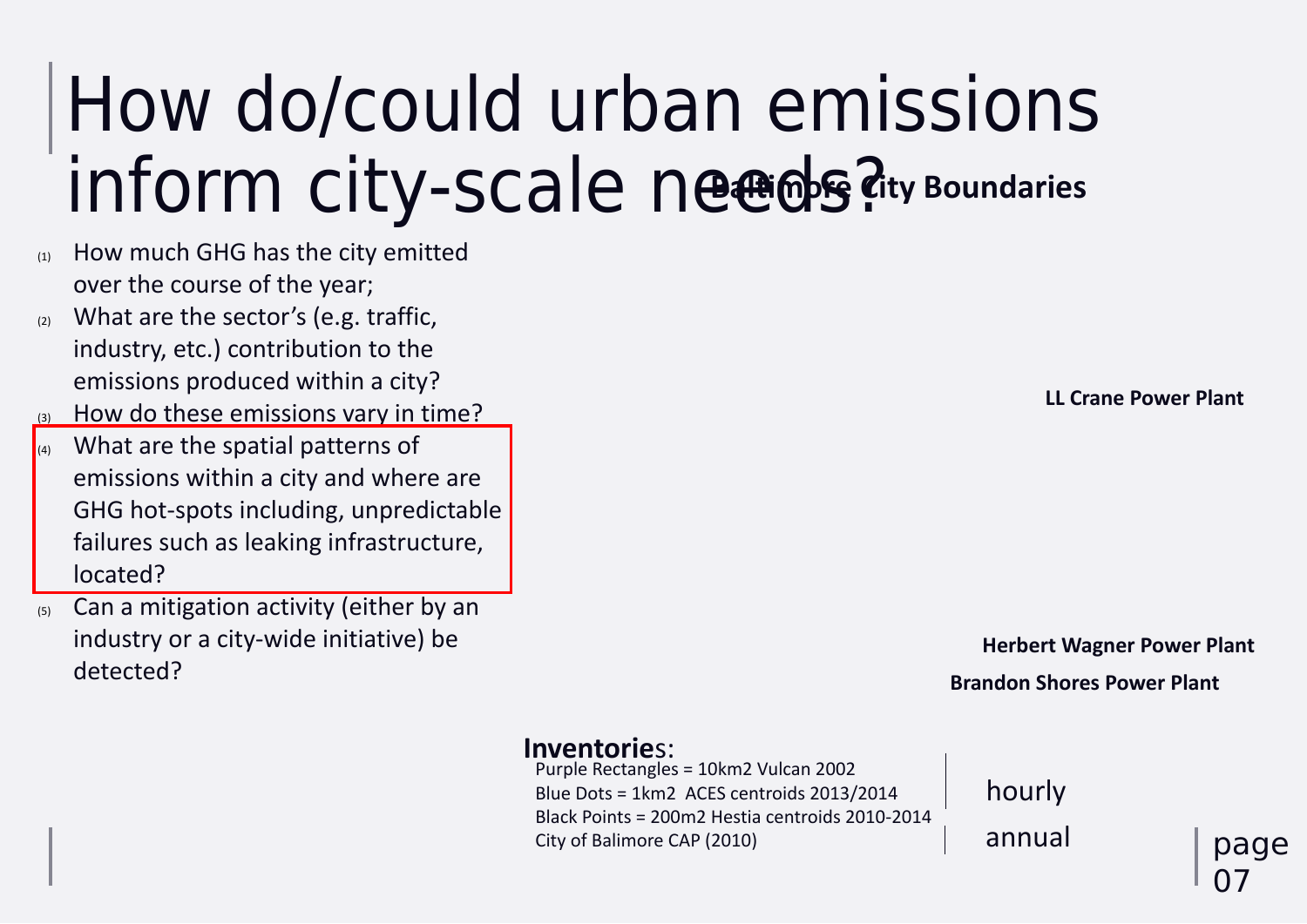page  $\mathbf 0$ 

Purple Rectangles = 10km2 Vulcan 2002 Blue Dots = 1km2 ACES centroids 2013/2014 Black Points = 200m2 Hestia centroids 2010-2014 City of Balimore CAP (2010)

#### **Brandon Shores Power Plant Herbert Wagner Power Plant**

**LL Crane Power Plant**

## How do/could urban emissions inform city-scale needs? **Baltimore City Boundaries**

- (1) How much GHG has the city emitted over the course of the year;
- $(2)$  What are the sector's (e.g. traffic, industry, etc.) contribution to the emissions produced within a city?
- (3) How do these emissions vary in time?
- (4) What are the spatial patterns of emissions within a city and where are GHG hot-spots including, unpredictable failures such as leaking infrastructure, located?
- (5) Can a mitigation activity (either by an industry or a city-wide initiative) be detected?

#### **Inventorie**s:

hourly annual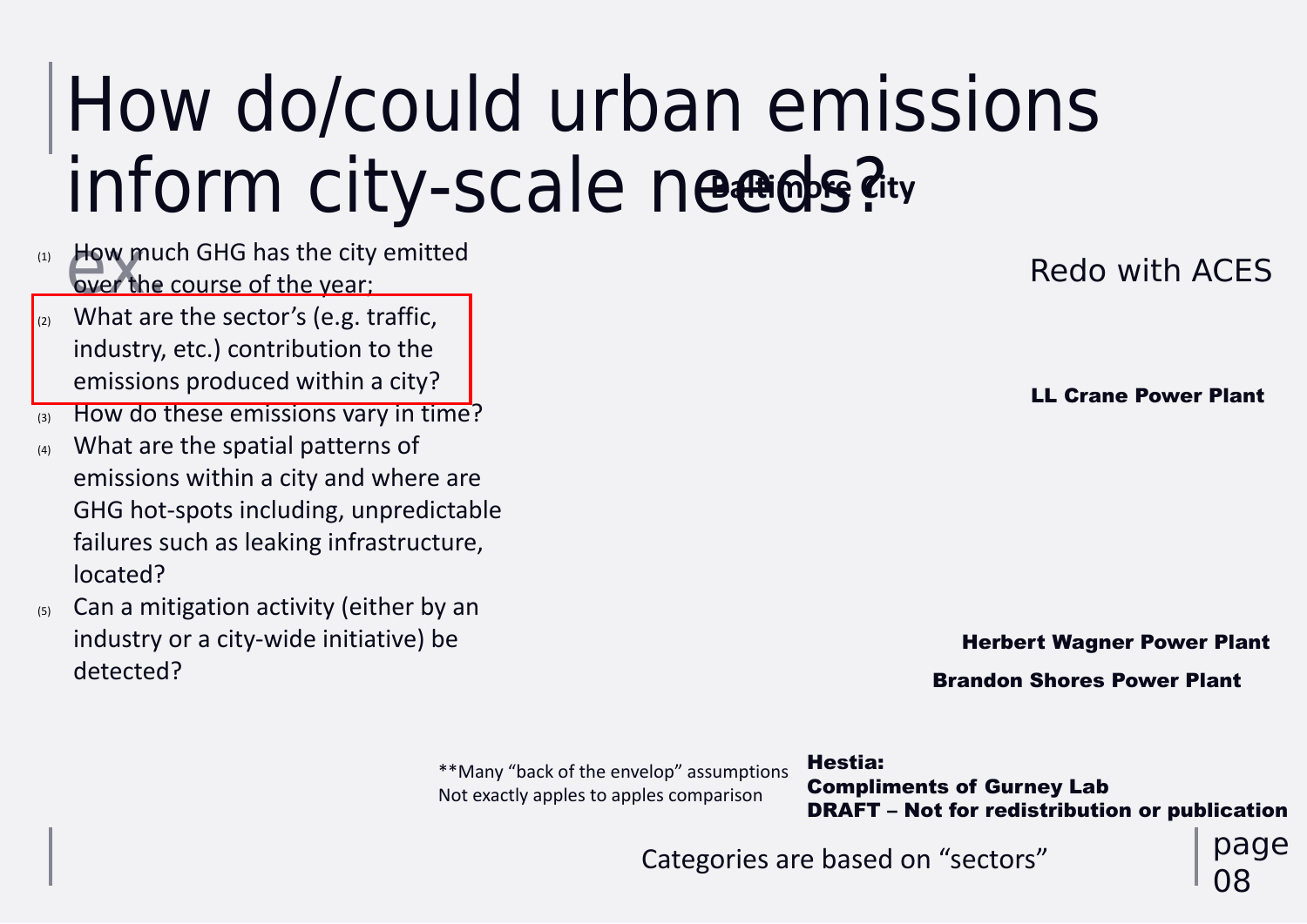## How do/could urban emissions inform city-scale needs? **Baltimore City**

page

08

#### Brandon Shores Power Plant

#### Herbert Wagner Power Plant

#### LL Crane Power Plant

- How mur (1) How much GHG has the city emitted over the course of the year;
- What are the sector's (e.g. traffic, industry, etc.) contribution to the emissions produced within a city?
- (3) How do these emissions vary in time?
- (4) What are the spatial patterns of emissions within a city and where are GHG hot-spots including, unpredictable failures such as leaking infrastructure, located?
- (5) Can a mitigation activity (either by an industry or a city-wide initiative) be detected?

## Redo with ACES

\*\*Many "back of the envelop" assumptions Not exactly apples to apples comparison



Categories are based on "sectors"

Hestia:

#### Compliments of Gurney Lab DRAFT – Not for redistribution or publication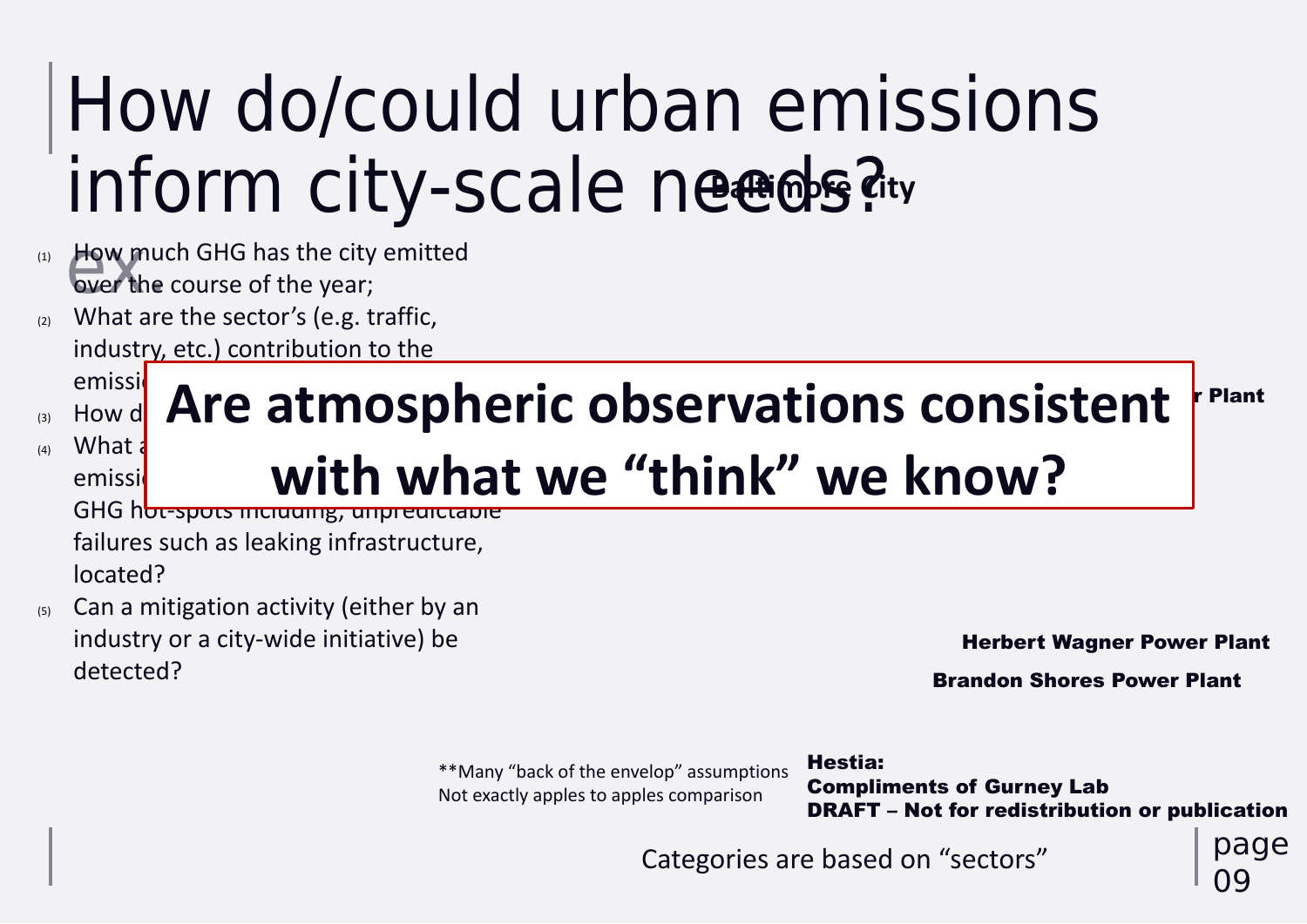09

Brandon Shores Power Plant

## How do/could urban emissions inform city-scale needs? **Baltimore City** (1) How much GHG has the city emitted

- How mur over the course of the year;
- (2) What are the sector's (e.g. traffic, industry, etc.) contribution to the emissions produced with a city
- $\mathsf{H}\mathsf{B}\mathsf{B}\mathsf{B}$  atmosph
- $(4)$  What a emissil with whe GHG hot-spots including, unpredictable

Herbert Wagner Power Plant

## icton+ rPlant **Are atmospheric observations consistent with what we "think" we know?**

failures such as leaking infrastructure, located?

(5) Can a mitigation activity (either by an industry or a city-wide initiative) be detected?

Categories are based on "sectors"

\*\*Many "back of the envelop" assumptions Not exactly apples to apples comparison

Hestia: Compliments of Gurney Lab DRAFT – Not for redistribution or publication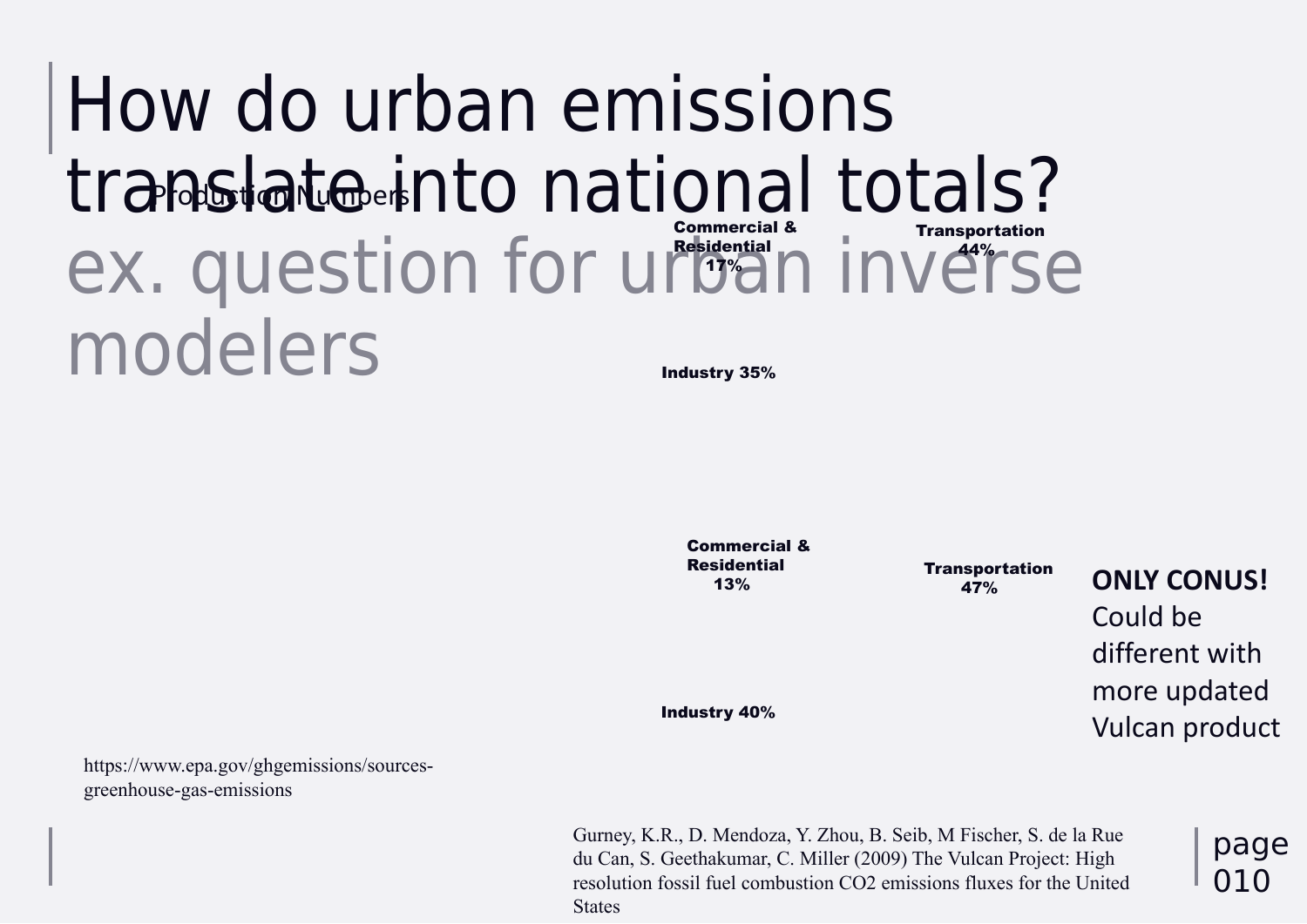### How do urban emissions translate into national totals? ex. question for urban inverse modelers Commercial & Residential 17% Industry 35% Problastico Numbers

https://www.epa.gov/ghgemissions/sourcesgreenhouse-gas-emissions

Transportation 47%

Gurney, K.R., D. Mendoza, Y. Zhou, B. Seib, M Fischer, S. de la Rue du Can, S. Geethakumar, C. Miller (2009) The Vulcan Project: High resolution fossil fuel combustion CO2 emissions fluxes for the United **States** 

Industry 40%

Commercial & Residential 13%



**ONLY CONUS!** Could be different with more updated Vulcan product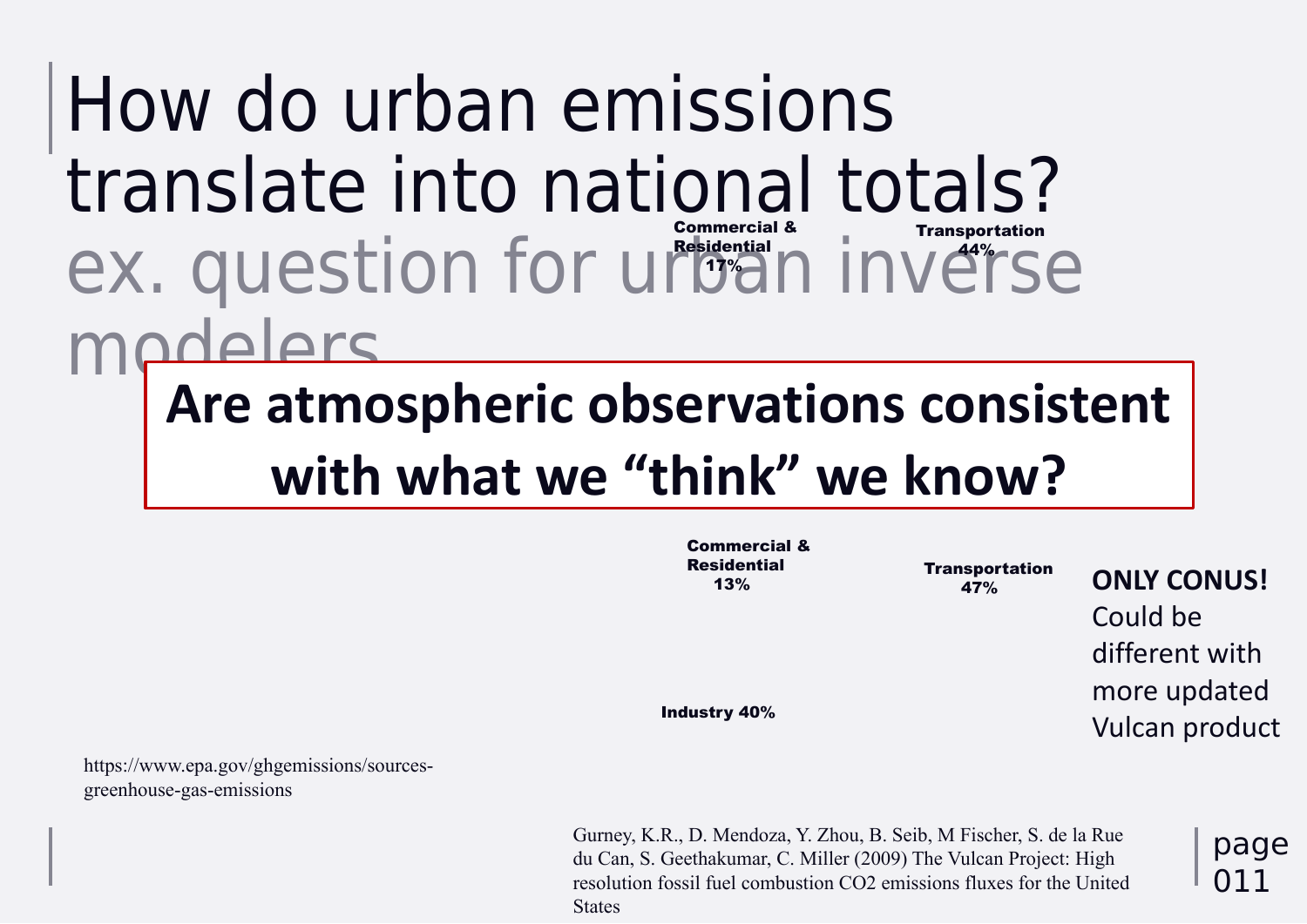Gurney, K.R., D. Mendoza, Y. Zhou, B. Seib, M Fischer, S. de la Rue du Can, S. Geethakumar, C. Miller (2009) The Vulcan Project: High resolution fossil fuel combustion CO2 emissions fluxes for the United **States** 



page 011

## How do urban emissions translate into national totals? ex. question for urban inverse modelers Transportation 44% Commercial & Residential 17% **Are atmospheric observations consistent with what we "think" we know?**

https://www.epa.gov/ghgemissions/sourcesgreenhouse-gas-emissions

Transportation 47%

Industry 40%

Commercial & Residential 13%

**ONLY CONUS!** Could be different with more updated Vulcan product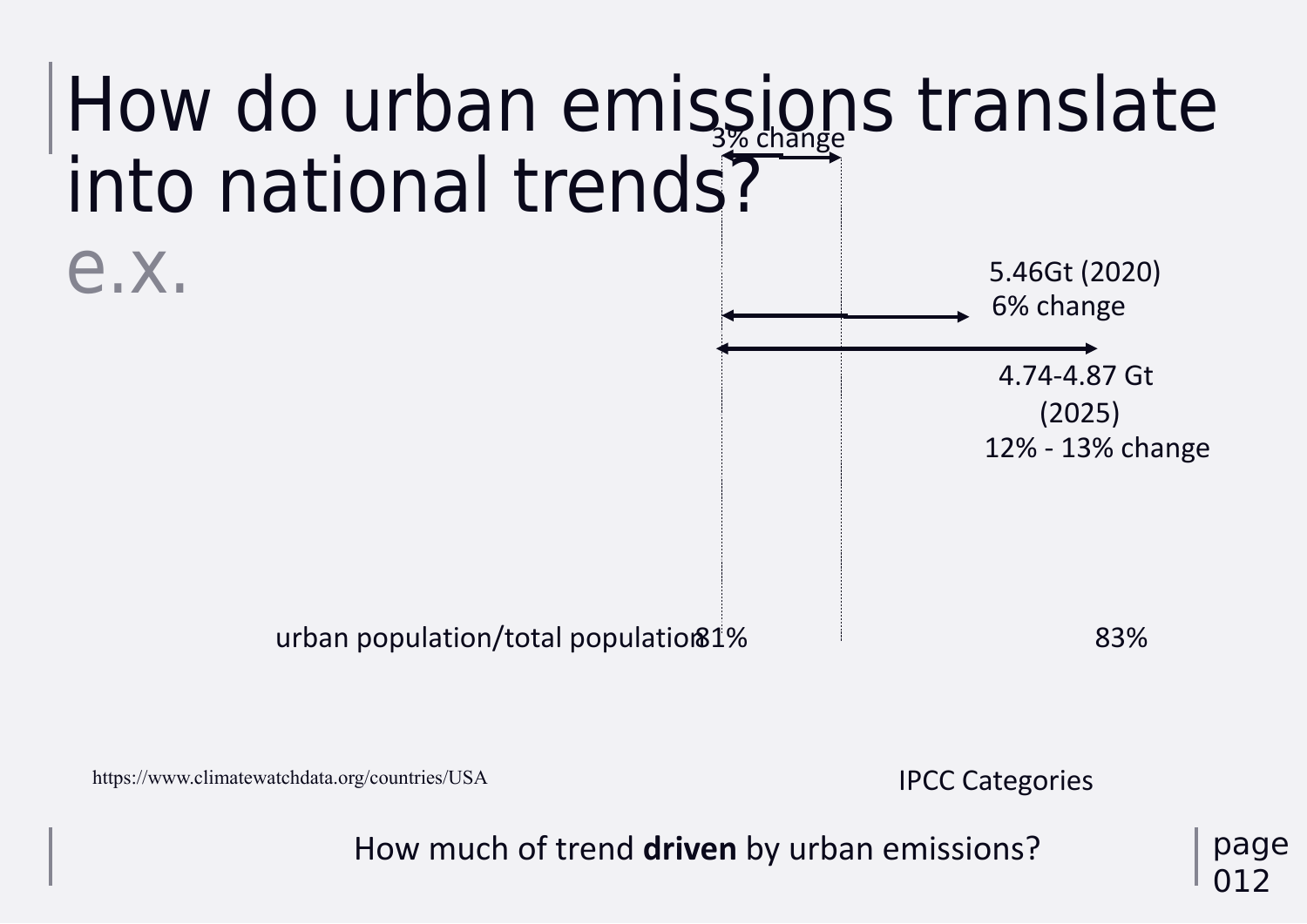## How do urban emissions translate into national trends? e.x. 3% change

How much of trend **driven** by urban emissions?

5.46Gt (2020) 6% change

4.74-4.87 Gt (2025) 12% - 13% change

https://www.climatewatchdata.org/countries/USA

urban population/total population81% 83%

IPCC Categories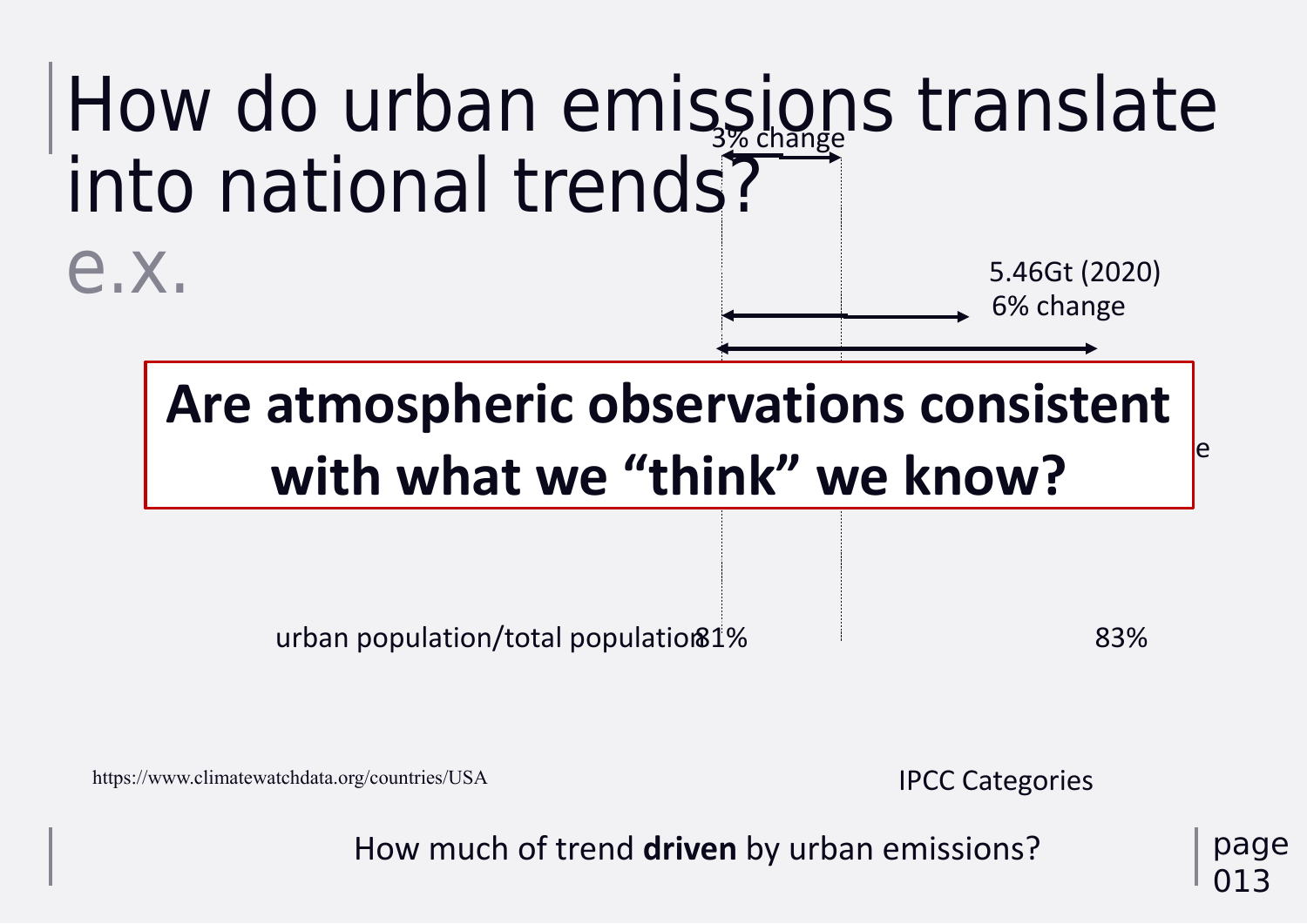# into national trends? e.x.

page 013



How much of trend **driven** by urban emissions?

5.46Gt (2020) 6% change

#### $\overline{\phantom{a}}$ ISTE  $\vert$ e **Are atmospheric observations consistent with what we "think" we know?**

urban population/total population81% 83%

https://www.climatewatchdata.org/countries/USA

## IPCC Categories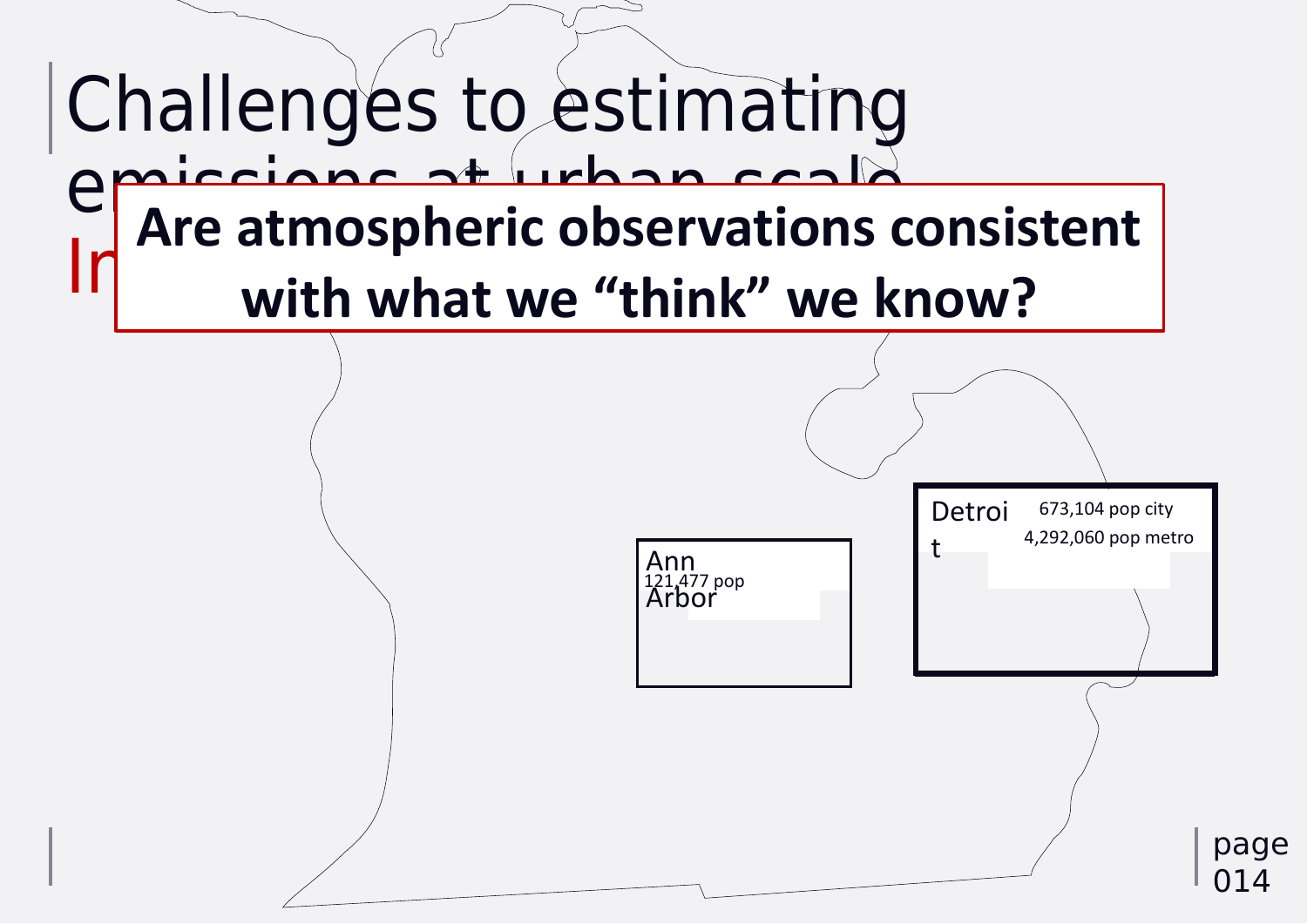

## Challenges to estimating emissions at urban scale  $\ln$ <sup>nic</sup> attrivapricity visch **Are atmospheric observations consistent with what we "think" we know?**

Ann Arbor 121,477 pop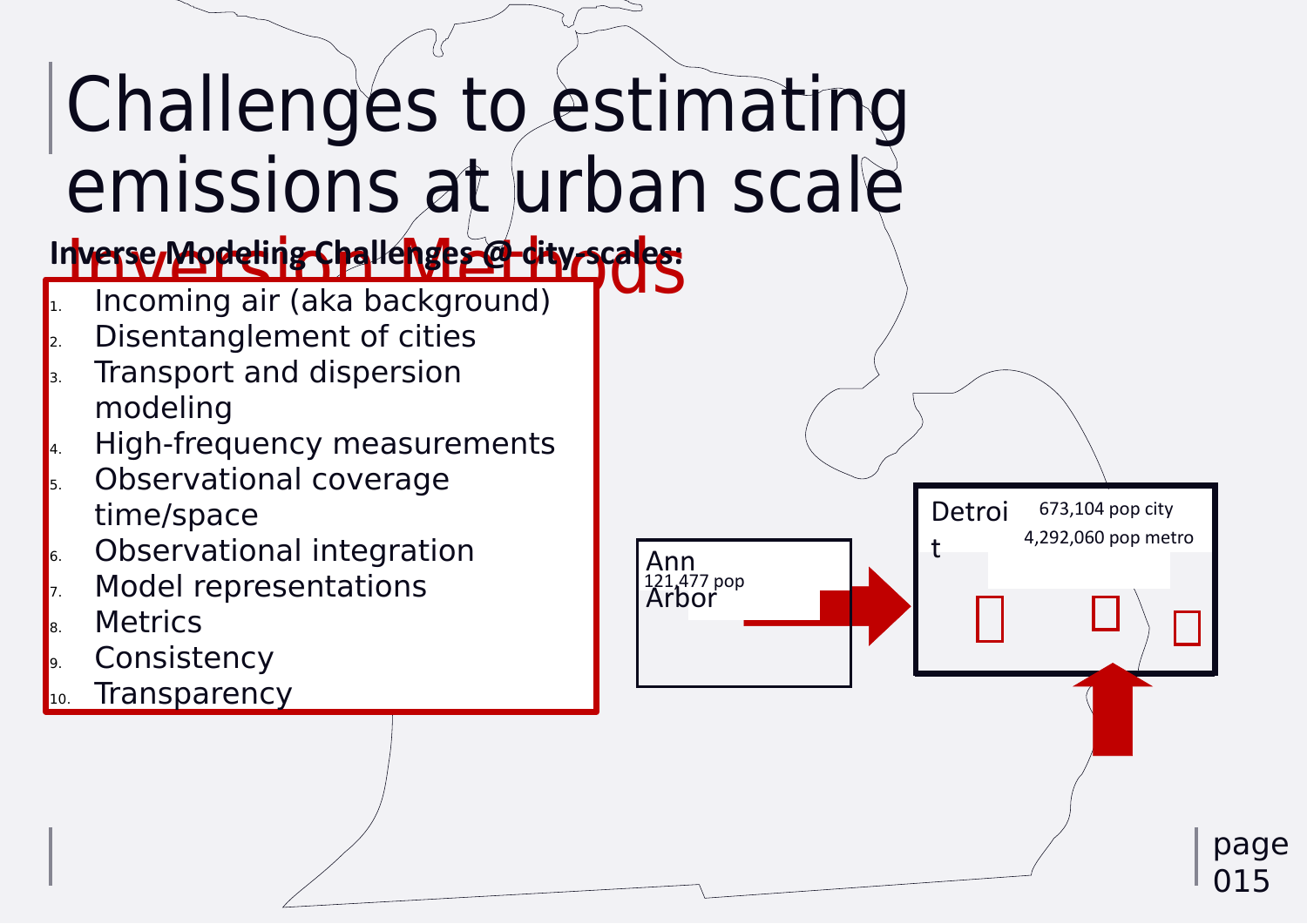# Challenges to estimating emissions at urban scale In<mark>verse Modeling Challenges @ dity-scales:</mark> 1. Incoming air (aka background)

- Disentanglement of cities
- 3. Transport and dispersion modeling
- 4. High-frequency measurements **5.** Observational coverage
- time/space
- **6.** Observational integration
- Model representations
- **B.** Metrics
- Consistency
- Transparency



Ann Arbor 121,477 pop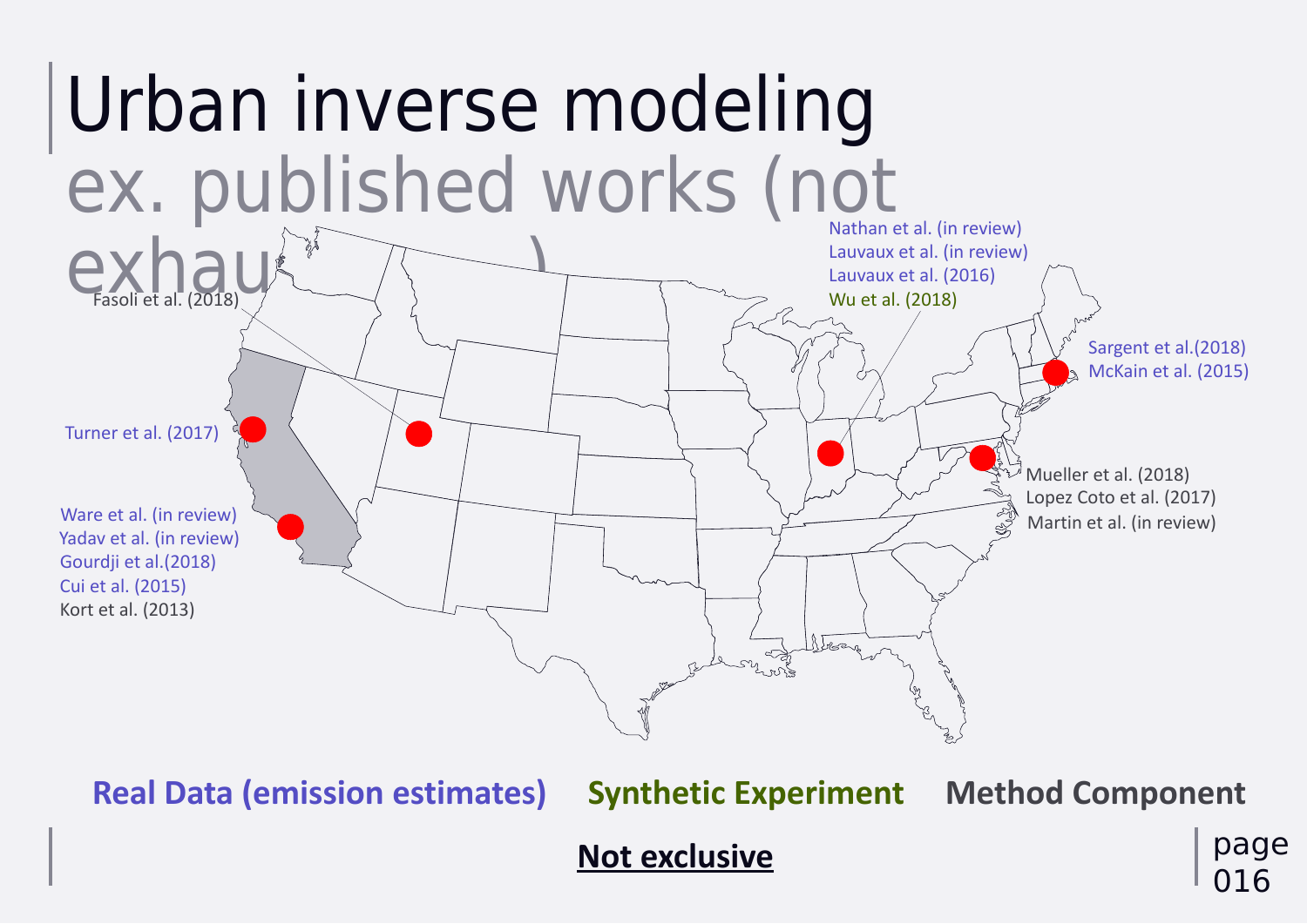

Yadav et al. (in review) Gourdji et al.(2018) Cui et al. (2015) Kort et al. (2013) Ware et al. (in review)

## **Real Data (emission estimates) Synthetic Experiment Method Component**

# $ex$ hall (2018)

Turner et al. (2017)

#### **Not exclusive**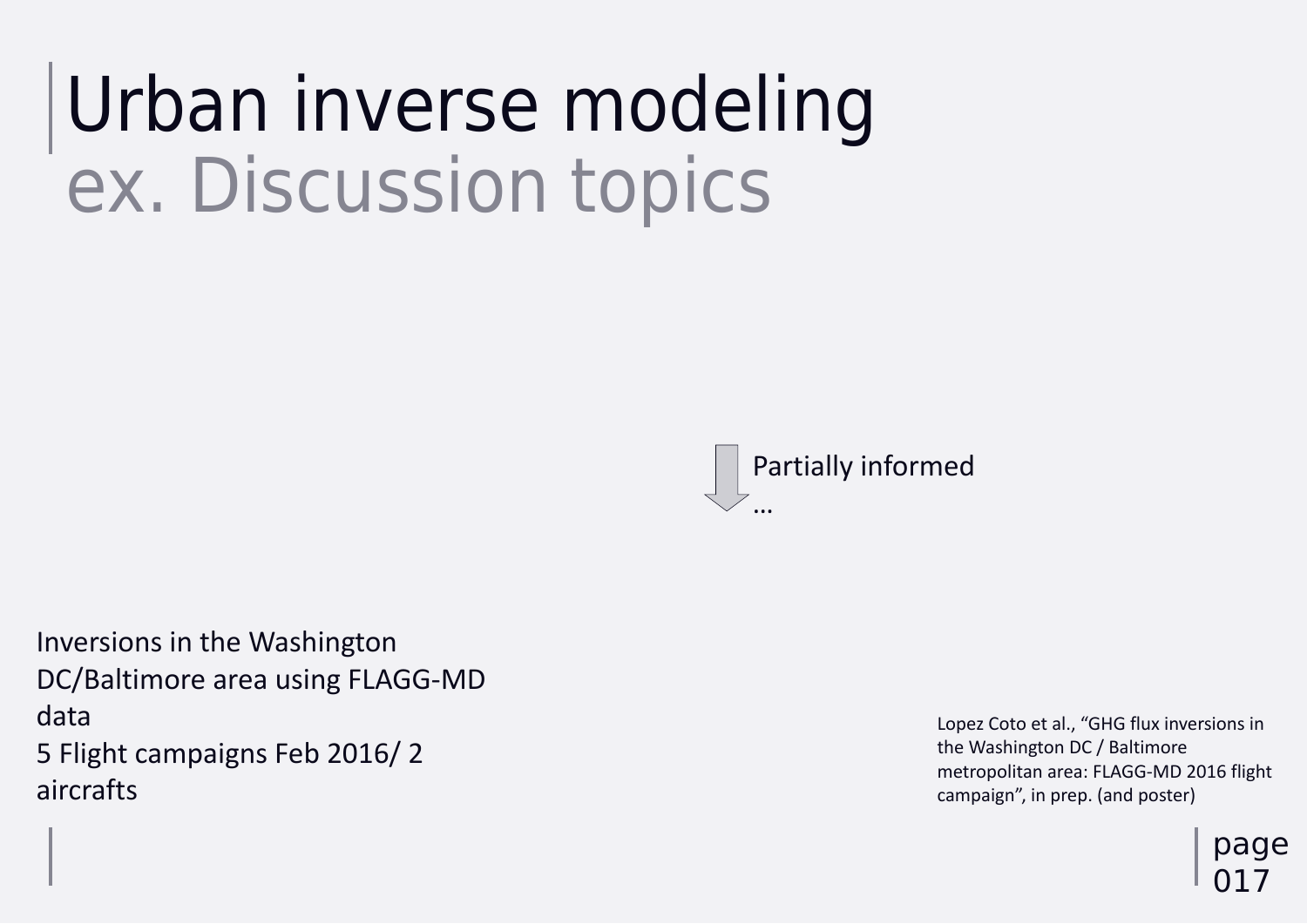# Urban inverse modeling ex. Discussion topics

page 017

## Inversions in the Washington DC/Baltimore area using FLAGG-MD data

5 Flight campaigns Feb 2016/ 2 aircrafts

Lopez Coto et al., "GHG flux inversions in the Washington DC / Baltimore metropolitan area: FLAGG-MD 2016 flight campaign", in prep. (and poster)

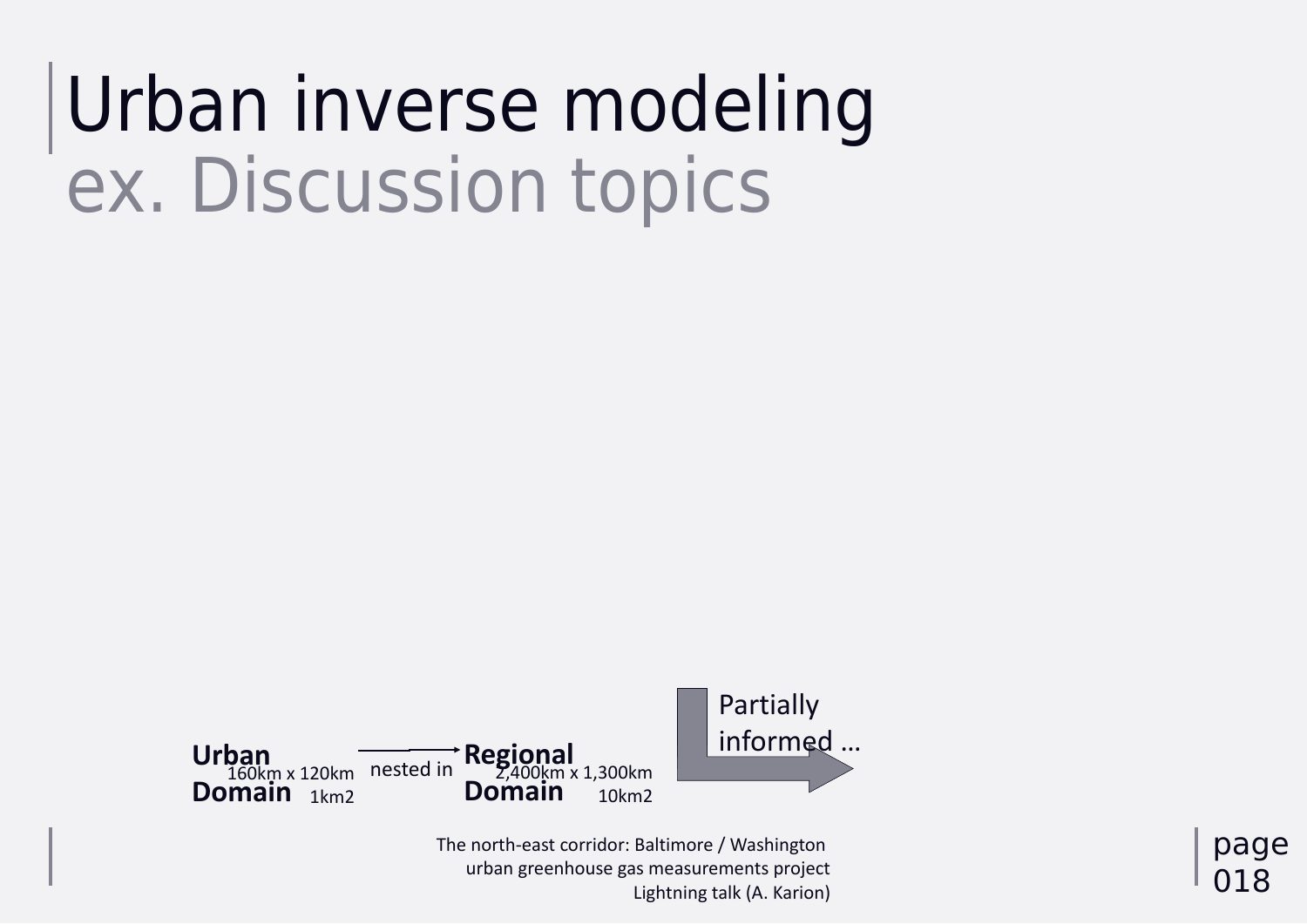# Urban inverse modeling ex. Discussion topics

## page 018



#### **Urban Domain** 1km2 160km x 120km



The north-east corridor: Baltimore / Washington urban greenhouse gas measurements project Lightning talk (A. Karion)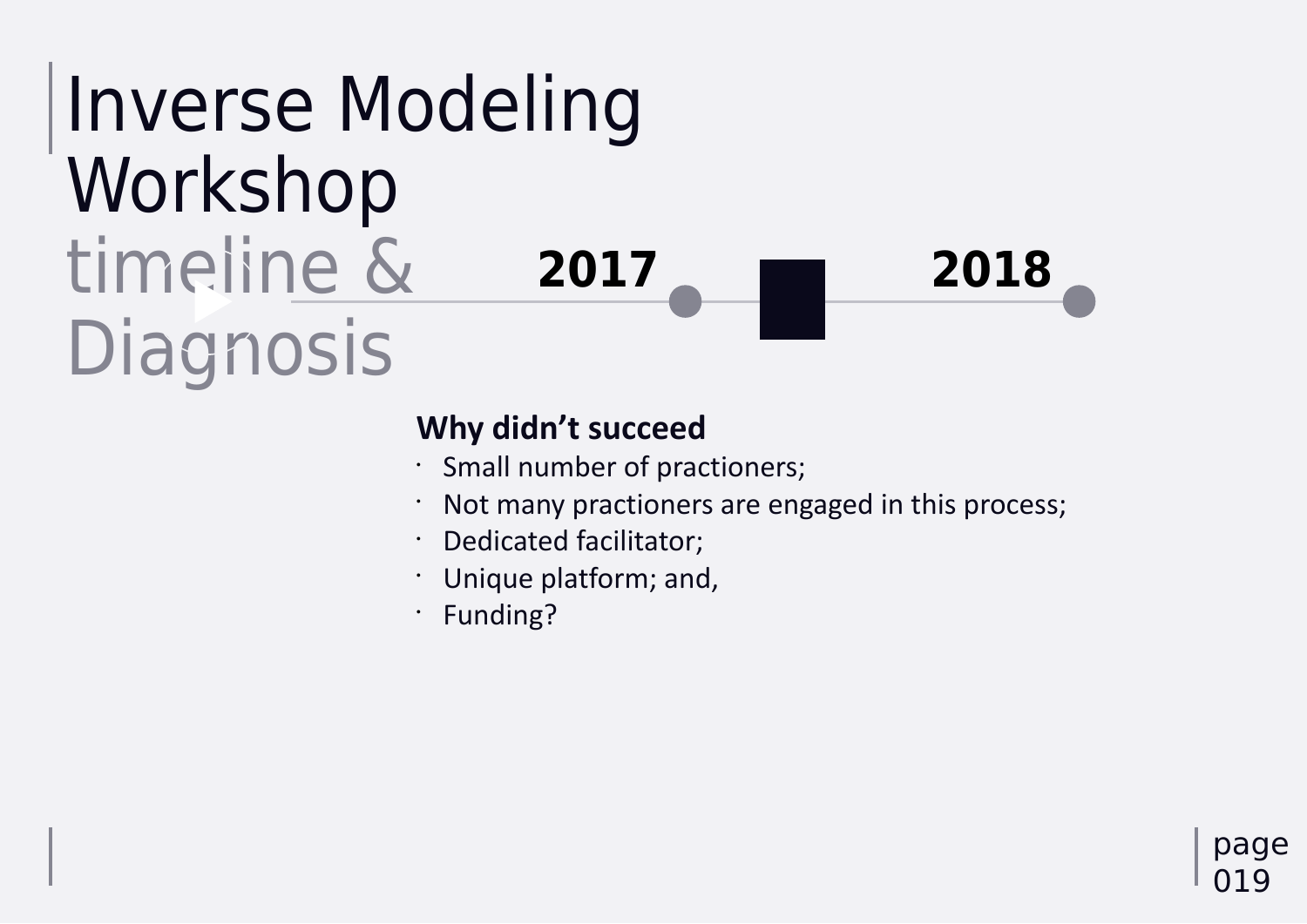## Inverse Modeling Workshop timeline & Diagnosis **2017 2018**



- 
- 
- 
- 

page 019

## **Why didn't succeed**

• Small number of practioners; Not many practioners are engaged in this process; • Dedicated facilitator; • Unique platform; and, • Funding?

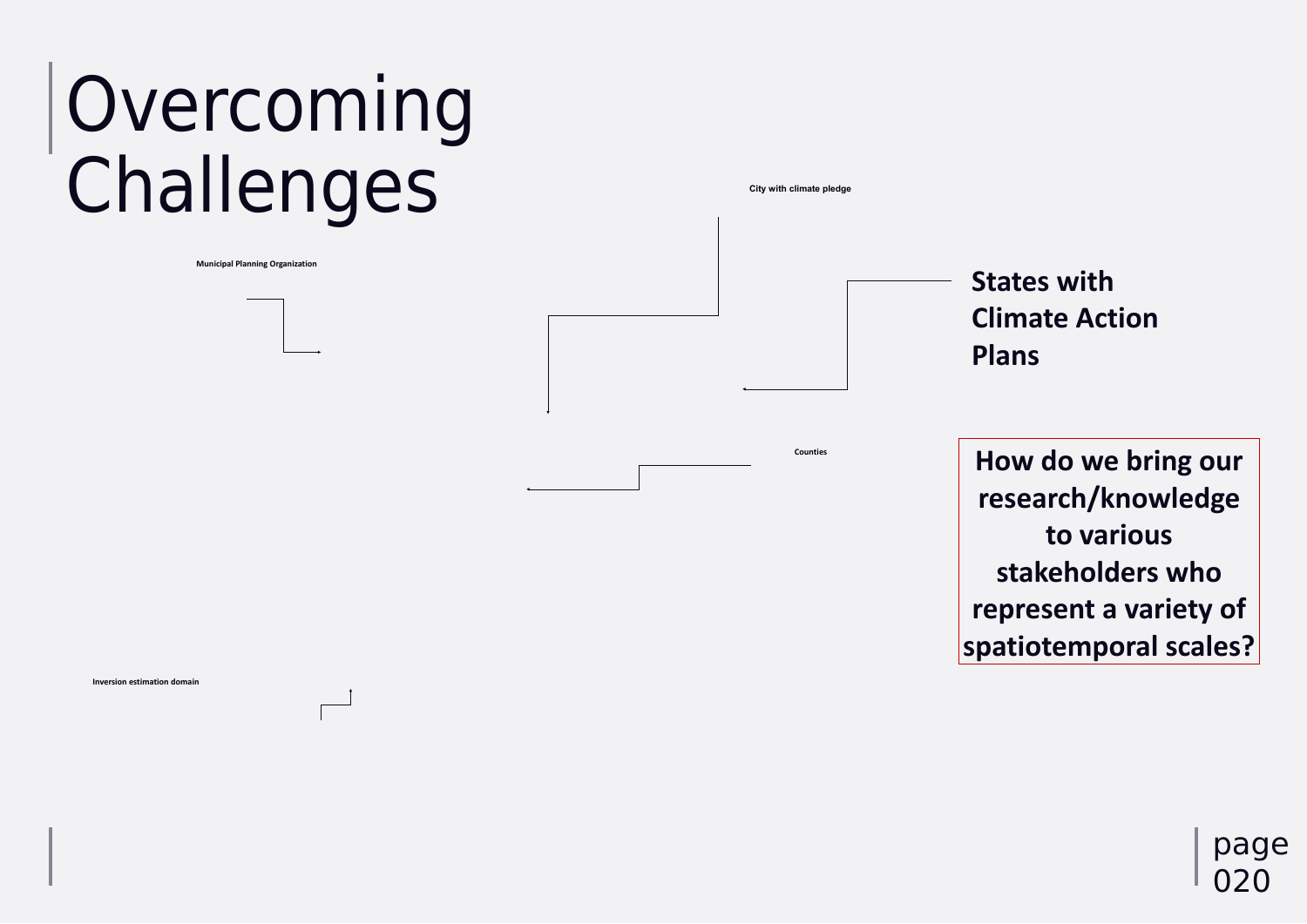#### **How do we bring our research/knowledge to various stakeholders who represent a variety of spatiotemporal scales?**

**City with climate pledge**

# Overcoming **Challenges**

**Municipal Planning Organization**

**Inversion estimation domain**

**Counties**

#### **States with Climate Action Plans**